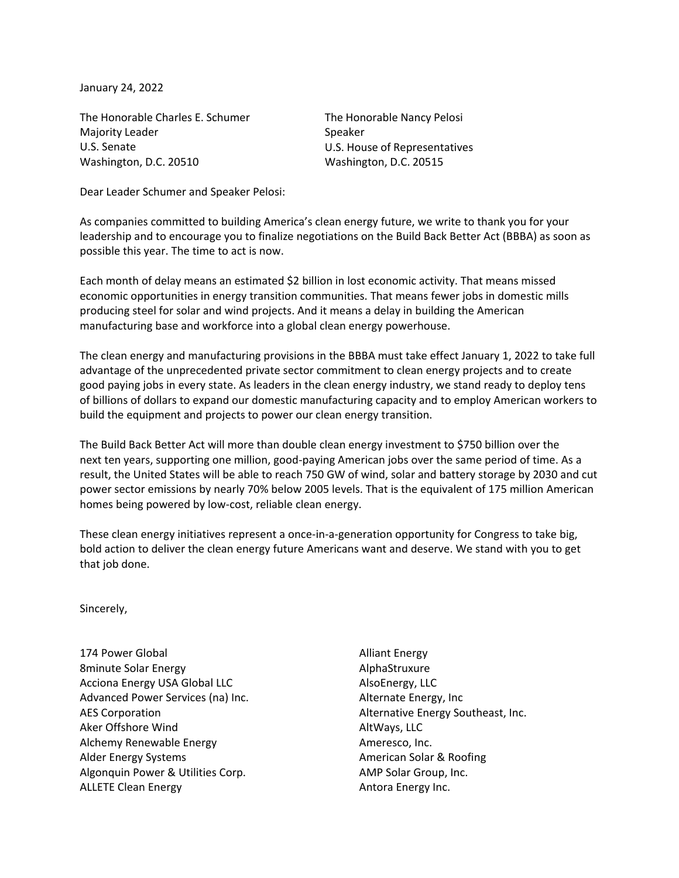January 24, 2022

The Honorable Charles E. Schumer Majority Leader U.S. Senate Washington, D.C. 20510

The Honorable Nancy Pelosi Speaker U.S. House of Representatives Washington, D.C. 20515

Dear Leader Schumer and Speaker Pelosi:

As companies committed to building America's clean energy future, we write to thank you for your leadership and to encourage you to finalize negotiations on the Build Back Better Act (BBBA) as soon as possible this year. The time to act is now.

Each month of delay means an estimated \$2 billion in lost economic activity. That means missed economic opportunities in energy transition communities. That means fewer jobs in domestic mills producing steel for solar and wind projects. And it means a delay in building the American manufacturing base and workforce into a global clean energy powerhouse.

The clean energy and manufacturing provisions in the BBBA must take effect January 1, 2022 to take full advantage of the unprecedented private sector commitment to clean energy projects and to create good paying jobs in every state. As leaders in the clean energy industry, we stand ready to deploy tens of billions of dollars to expand our domestic manufacturing capacity and to employ American workers to build the equipment and projects to power our clean energy transition.

The Build Back Better Act will more than double clean energy investment to \$750 billion over the next ten years, supporting one million, good-paying American jobs over the same period of time. As a result, the United States will be able to reach 750 GW of wind, solar and battery storage by 2030 and cut power sector emissions by nearly 70% below 2005 levels. That is the equivalent of 175 million American homes being powered by low-cost, reliable clean energy.

These clean energy initiatives represent a once-in-a-generation opportunity for Congress to take big, bold action to deliver the clean energy future Americans want and deserve. We stand with you to get that job done.

Sincerely,

174 Power Global 8minute Solar Energy Acciona Energy USA Global LLC Advanced Power Services (na) Inc. AES Corporation Aker Offshore Wind Alchemy Renewable Energy Alder Energy Systems Algonquin Power & Utilities Corp. ALLETE Clean Energy

Alliant Energy AlphaStruxure AlsoEnergy, LLC Alternate Energy, Inc Alternative Energy Southeast, Inc. AltWays, LLC Ameresco, Inc. American Solar & Roofing AMP Solar Group, Inc. Antora Energy Inc.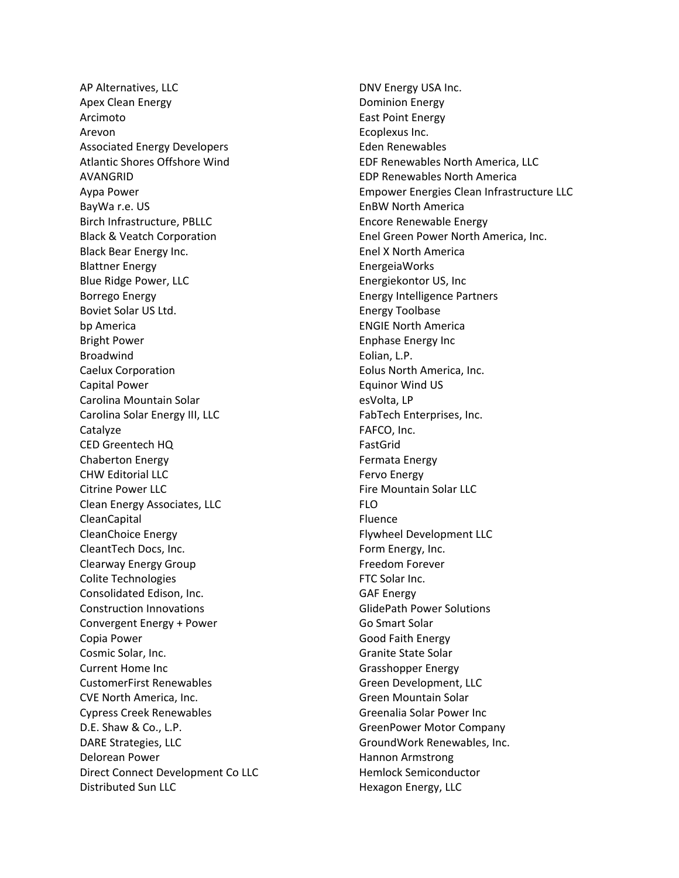AP Alternatives, LLC Apex Clean Energy Arcimoto Arevon Associated Energy Developers Atlantic Shores Offshore Wind AVANGRID Aypa Power BayWa r.e. US Birch Infrastructure, PBLLC Black & Veatch Corporation Black Bear Energy Inc. Blattner Energy Blue Ridge Power, LLC Borrego Energy Boviet Solar US Ltd. bp America Bright Power Broadwind Caelux Corporation Capital Power Carolina Mountain Solar Carolina Solar Energy III, LLC Catalyze CED Greentech HQ Chaberton Energy CHW Editorial LLC Citrine Power LLC Clean Energy Associates, LLC CleanCapital CleanChoice Energy CleantTech Docs, Inc. Clearway Energy Group Colite Technologies Consolidated Edison, Inc. Construction Innovations Convergent Energy + Power Copia Power Cosmic Solar, Inc. Current Home Inc CustomerFirst Renewables CVE North America, Inc. Cypress Creek Renewables D.E. Shaw & Co., L.P. DARE Strategies, LLC Delorean Power Direct Connect Development Co LLC Distributed Sun LLC

DNV Energy USA Inc. Dominion Energy East Point Energy Ecoplexus Inc. Eden Renewables EDF Renewables North America, LLC EDP Renewables North America Empower Energies Clean Infrastructure LLC EnBW North America Encore Renewable Energy Enel Green Power North America, Inc. Enel X North America EnergeiaWorks Energiekontor US, Inc Energy Intelligence Partners Energy Toolbase ENGIE North America Enphase Energy Inc Eolian, L.P. Eolus North America, Inc. Equinor Wind US esVolta, LP FabTech Enterprises, Inc. FAFCO, Inc. FastGrid Fermata Energy Fervo Energy Fire Mountain Solar LLC FLO Fluence Flywheel Development LLC Form Energy, Inc. Freedom Forever FTC Solar Inc. GAF Energy GlidePath Power Solutions Go Smart Solar Good Faith Energy Granite State Solar Grasshopper Energy Green Development, LLC Green Mountain Solar Greenalia Solar Power Inc GreenPower Motor Company GroundWork Renewables, Inc. Hannon Armstrong Hemlock Semiconductor Hexagon Energy, LLC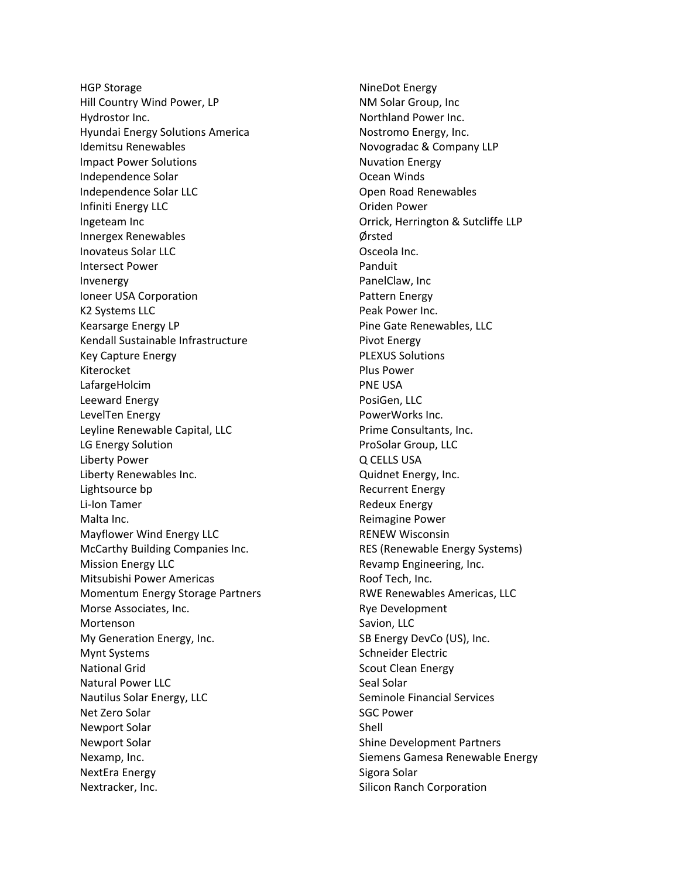HGP Storage Hill Country Wind Power, LP Hydrostor Inc. Hyundai Energy Solutions America Idemitsu Renewables Impact Power Solutions Independence Solar Independence Solar LLC Infiniti Energy LLC Ingeteam Inc Innergex Renewables Inovateus Solar LLC Intersect Power Invenergy Ioneer USA Corporation K2 Systems LLC Kearsarge Energy LP Kendall Sustainable Infrastructure Key Capture Energy Kiterocket LafargeHolcim Leeward Energy LevelTen Energy Leyline Renewable Capital, LLC LG Energy Solution Liberty Power Liberty Renewables Inc. Lightsource bp Li-Ion Tamer Malta Inc. Mayflower Wind Energy LLC McCarthy Building Companies Inc. Mission Energy LLC Mitsubishi Power Americas Momentum Energy Storage Partners Morse Associates, Inc. Mortenson My Generation Energy, Inc. Mynt Systems National Grid Natural Power LLC Nautilus Solar Energy, LLC Net Zero Solar Newport Solar Newport Solar Nexamp, Inc. NextEra Energy Nextracker, Inc.

NineDot Energy NM Solar Group, Inc Northland Power Inc. Nostromo Energy, Inc. Novogradac & Company LLP Nuvation Energy Ocean Winds Open Road Renewables Oriden Power Orrick, Herrington & Sutcliffe LLP Ørsted Osceola Inc. Panduit PanelClaw, Inc Pattern Energy Peak Power Inc. Pine Gate Renewables, LLC Pivot Energy PLEXUS Solutions Plus Power PNE USA PosiGen, LLC PowerWorks Inc. Prime Consultants, Inc. ProSolar Group, LLC Q CELLS USA Quidnet Energy, Inc. Recurrent Energy Redeux Energy Reimagine Power RENEW Wisconsin RES (Renewable Energy Systems) Revamp Engineering, Inc. Roof Tech, Inc. RWE Renewables Americas, LLC Rye Development Savion, LLC SB Energy DevCo (US), Inc. Schneider Electric Scout Clean Energy Seal Solar Seminole Financial Services SGC Power Shell Shine Development Partners Siemens Gamesa Renewable Energy Sigora Solar Silicon Ranch Corporation